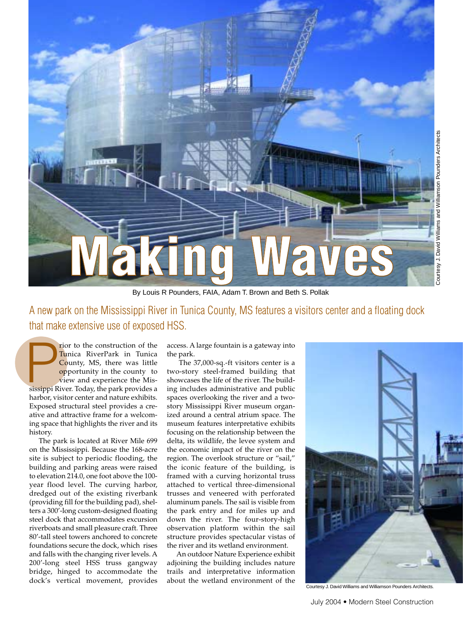

By Louis R Pounders, FAIA, Adam T. Brown and Beth S. Pollak

A new park on the Mississippi River in Tunica County, MS features a visitors center and a floating dock that make extensive use of exposed HSS.

**Francisch Confidential RiverPark in Tunica**<br> **County, MS, there was little opportunity in the county to view and experience the Mississippi River. Today, the park provides a** rior to the construction of the Tunica RiverPark in Tunica County, MS, there was little opportunity in the county to view and experience the Misharbor, visitor center and nature exhibits. Exposed structural steel provides a creative and attractive frame for a welcoming space that highlights the river and its history.

The park is located at River Mile 699 on the Mississippi. Because the 168-acre site is subject to periodic flooding, the building and parking areas were raised to elevation 214.0, one foot above the 100 year flood level. The curving harbor, dredged out of the existing riverbank (providing fill for the building pad), shelters a 300'-long custom-designed floating steel dock that accommodates excursion riverboats and small pleasure craft. Three 80'-tall steel towers anchored to concrete foundations secure the dock, which rises and falls with the changing river levels. A 200'-long steel HSS truss gangway bridge, hinged to accommodate the dock's vertical movement, provides

access. A large fountain is a gateway into the park.

The 37,000-sq.-ft visitors center is a two-story steel-framed building that showcases the life of the river. The building includes administrative and public spaces overlooking the river and a twostory Mississippi River museum organized around a central atrium space. The museum features interpretative exhibits focusing on the relationship between the delta, its wildlife, the levee system and the economic impact of the river on the region. The overlook structure or "sail," the iconic feature of the building, is framed with a curving horizontal truss attached to vertical three-dimensional trusses and veneered with perforated aluminum panels. The sail is visible from the park entry and for miles up and down the river. The four-story-high observation platform within the sail structure provides spectacular vistas of the river and its wetland environment.

An outdoor Nature Experience exhibit adjoining the building includes nature trails and interpretative information about the wetland environment of the



Courtesy J. David Williams and Williamson Pounders Architects.